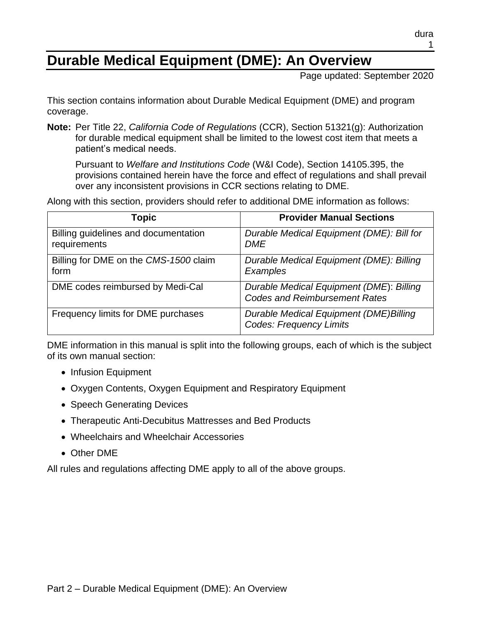# **Durable Medical Equipment (DME): An Overview**

Page updated: September 2020

This section contains information about Durable Medical Equipment (DME) and program coverage.

**Note:** Per Title 22, *California Code of Regulations* (CCR), Section 51321(g): Authorization for durable medical equipment shall be limited to the lowest cost item that meets a patient's medical needs.

Pursuant to *Welfare and Institutions Code* (W&I Code), Section 14105.395, the provisions contained herein have the force and effect of regulations and shall prevail over any inconsistent provisions in CCR sections relating to DME.

Along with this section, providers should refer to additional DME information as follows:

| Topic                                                | <b>Provider Manual Sections</b>                                                  |
|------------------------------------------------------|----------------------------------------------------------------------------------|
| Billing guidelines and documentation<br>requirements | Durable Medical Equipment (DME): Bill for<br><b>DME</b>                          |
| Billing for DME on the CMS-1500 claim<br>form        | Durable Medical Equipment (DME): Billing<br>Examples                             |
| DME codes reimbursed by Medi-Cal                     | Durable Medical Equipment (DME): Billing<br><b>Codes and Reimbursement Rates</b> |
| Frequency limits for DME purchases                   | Durable Medical Equipment (DME)Billing<br><b>Codes: Frequency Limits</b>         |

DME information in this manual is split into the following groups, each of which is the subject of its own manual section:

- Infusion Equipment
- Oxygen Contents, Oxygen Equipment and Respiratory Equipment
- Speech Generating Devices
- Therapeutic Anti-Decubitus Mattresses and Bed Products
- Wheelchairs and Wheelchair Accessories
- Other DME

All rules and regulations affecting DME apply to all of the above groups.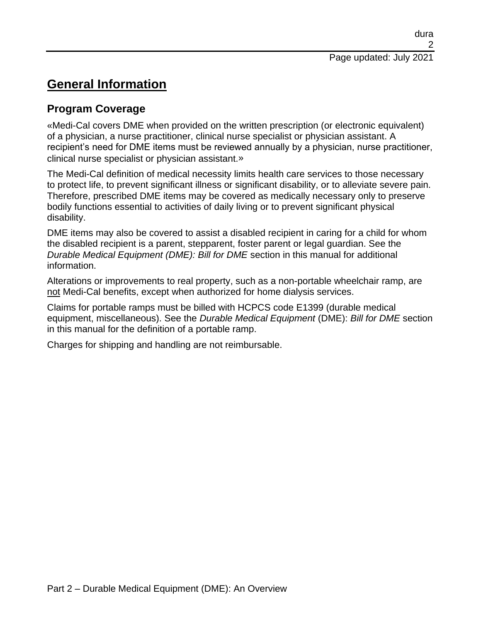# **General Information**

## **Program Coverage**

[«M](#page-11-0)edi-Cal covers DME when provided on the written prescription (or electronic equivalent) of a physician, a nurse practitioner, clinical nurse specialist or physician assistant. A recipient's need for DME items must be reviewed annually by a physician, nurse practitioner, clinical nurse specialist or physician assistant[.»](#page-11-1)

The Medi-Cal definition of medical necessity limits health care services to those necessary to protect life, to prevent significant illness or significant disability, or to alleviate severe pain. Therefore, prescribed DME items may be covered as medically necessary only to preserve bodily functions essential to activities of daily living or to prevent significant physical disability.

DME items may also be covered to assist a disabled recipient in caring for a child for whom the disabled recipient is a parent, stepparent, foster parent or legal guardian. See the *Durable Medical Equipment (DME): Bill for DME* section in this manual for additional information.

Alterations or improvements to real property, such as a non-portable wheelchair ramp, are not Medi-Cal benefits, except when authorized for home dialysis services.

Claims for portable ramps must be billed with HCPCS code E1399 (durable medical equipment, miscellaneous). See the *Durable Medical Equipment* (DME): *Bill for DME* section in this manual for the definition of a portable ramp.

Charges for shipping and handling are not reimbursable.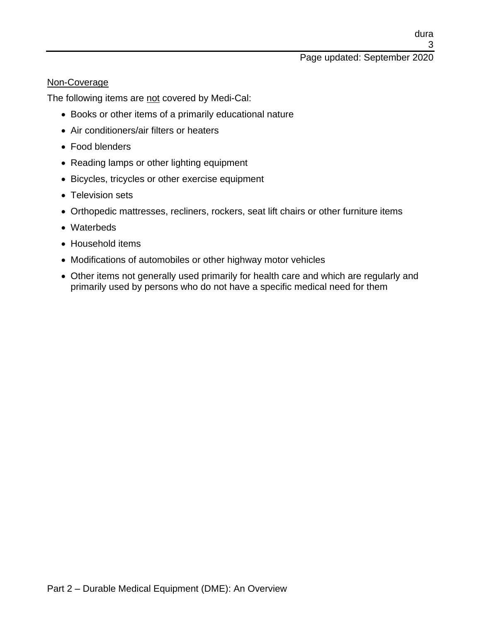### Page updated: September 2020

### Non-Coverage

The following items are not covered by Medi-Cal:

- Books or other items of a primarily educational nature
- Air conditioners/air filters or heaters
- Food blenders
- Reading lamps or other lighting equipment
- Bicycles, tricycles or other exercise equipment
- Television sets
- Orthopedic mattresses, recliners, rockers, seat lift chairs or other furniture items
- Waterbeds
- Household items
- Modifications of automobiles or other highway motor vehicles
- Other items not generally used primarily for health care and which are regularly and primarily used by persons who do not have a specific medical need for them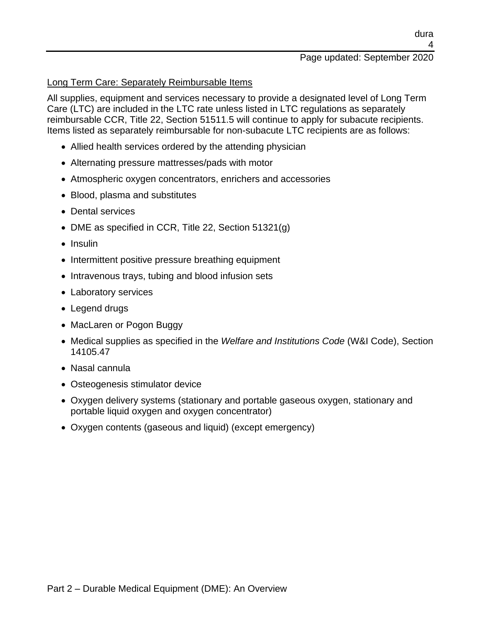#### 4 Page updated: September 2020

dura

### Long Term Care: Separately Reimbursable Items

All supplies, equipment and services necessary to provide a designated level of Long Term Care (LTC) are included in the LTC rate unless listed in LTC regulations as separately reimbursable CCR, Title 22, Section 51511.5 will continue to apply for subacute recipients. Items listed as separately reimbursable for non-subacute LTC recipients are as follows:

- Allied health services ordered by the attending physician
- Alternating pressure mattresses/pads with motor
- Atmospheric oxygen concentrators, enrichers and accessories
- Blood, plasma and substitutes
- Dental services
- DME as specified in CCR, Title 22, Section 51321(g)
- Insulin
- Intermittent positive pressure breathing equipment
- Intravenous trays, tubing and blood infusion sets
- Laboratory services
- Legend drugs
- MacLaren or Pogon Buggy
- Medical supplies as specified in the *Welfare and Institutions Code* (W&I Code), Section 14105.47
- Nasal cannula
- Osteogenesis stimulator device
- Oxygen delivery systems (stationary and portable gaseous oxygen, stationary and portable liquid oxygen and oxygen concentrator)
- Oxygen contents (gaseous and liquid) (except emergency)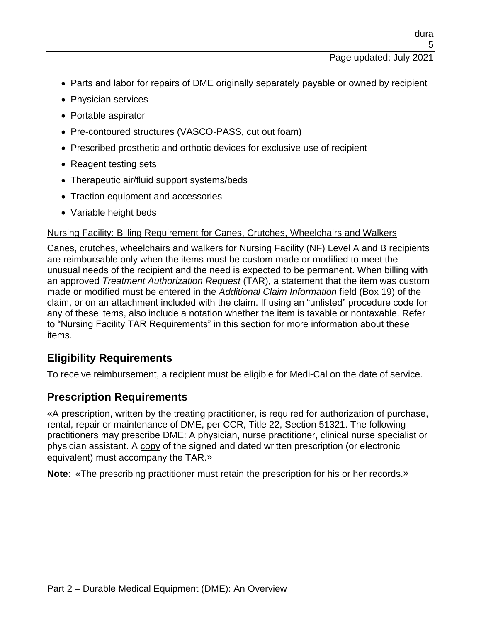- Parts and labor for repairs of DME originally separately payable or owned by recipient
- Physician services
- Portable aspirator
- Pre-contoured structures (VASCO-PASS, cut out foam)
- Prescribed prosthetic and orthotic devices for exclusive use of recipient
- Reagent testing sets
- Therapeutic air/fluid support systems/beds
- Traction equipment and accessories
- Variable height beds

### Nursing Facility: Billing Requirement for Canes, Crutches, Wheelchairs and Walkers

Canes, crutches, wheelchairs and walkers for Nursing Facility (NF) Level A and B recipients are reimbursable only when the items must be custom made or modified to meet the unusual needs of the recipient and the need is expected to be permanent. When billing with an approved *Treatment Authorization Request* (TAR), a statement that the item was custom made or modified must be entered in the *Additional Claim Information* field (Box 19) of the claim, or on an attachment included with the claim. If using an "unlisted" procedure code for any of these items, also include a notation whether the item is taxable or nontaxable. Refer to "Nursing Facility TAR Requirements" in this section for more information about these items.

## **Eligibility Requirements**

To receive reimbursement, a recipient must be eligible for Medi-Cal on the date of service.

## **Prescription Requirements**

[«A](#page-11-0) prescription, written by the treating practitioner, is required for authorization of purchase, rental, repair or maintenance of DME, per CCR, Title 22, Section 51321. The following practitioners may prescribe DME: A physician, nurse practitioner, clinical nurse specialist or physician assistant. A copy of the signed and dated written prescription (or electronic equivalent) must accompany the TAR[.»](#page-11-1)

**Note**: [«T](#page-11-0)he prescribing practitioner must retain the prescription for his or her records[.»](#page-11-1)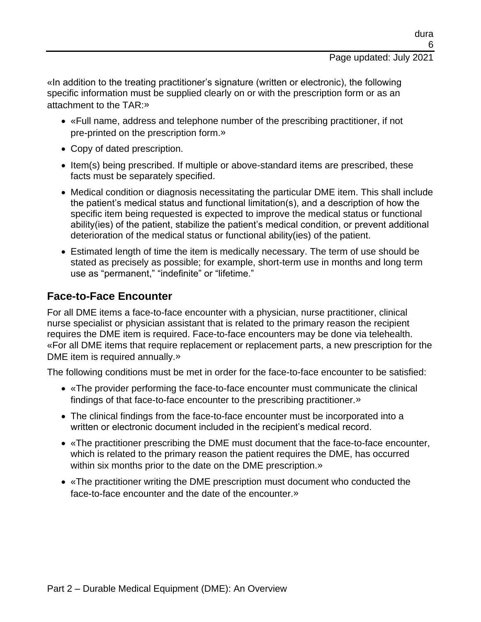### Page updated: July 2021

[«I](#page-11-0)n addition to the treating practitioner's signature (written or electronic), the following specific information must be supplied clearly on or with the prescription form or as an attachment to the TAR[:»](#page-11-1)

- [«F](#page-11-0)ull name, address and telephone number of the prescribing practitioner, if not pre-printed on the prescription form[.»](#page-11-1)
- Copy of dated prescription.
- Item(s) being prescribed. If multiple or above-standard items are prescribed, these facts must be separately specified.
- Medical condition or diagnosis necessitating the particular DME item. This shall include the patient's medical status and functional limitation(s), and a description of how the specific item being requested is expected to improve the medical status or functional ability(ies) of the patient, stabilize the patient's medical condition, or prevent additional deterioration of the medical status or functional ability(ies) of the patient.
- Estimated length of time the item is medically necessary. The term of use should be stated as precisely as possible; for example, short-term use in months and long term use as "permanent," "indefinite" or "lifetime."

### **Face-to-Face Encounter**

For all DME items a face-to-face encounter with a physician, nurse practitioner, clinical nurse specialist or physician assistant that is related to the primary reason the recipient requires the DME item is required. Face-to-face encounters may be done via telehealth. [«F](#page-11-0)or all DME items that require replacement or replacement parts, a new prescription for the DME item is required annually[.»](#page-11-1)

The following conditions must be met in order for the face-to-face encounter to be satisfied:

- [«T](#page-11-0)he provider performing the face-to-face encounter must communicate the clinical findings of that face-to-face encounter to the prescribing practitioner[.»](#page-11-1)
- The clinical findings from the face-to-face encounter must be incorporated into a written or electronic document included in the recipient's medical record.
- [«T](#page-11-0)he practitioner prescribing the DME must document that the face-to-face encounter, which is related to the primary reason the patient requires the DME, has occurred within six months prior to the date on the DME prescription[.»](#page-11-1)
- [«T](#page-11-0)he practitioner writing the DME prescription must document who conducted the face-to-face encounter and the date of the encounter[.»](#page-11-1)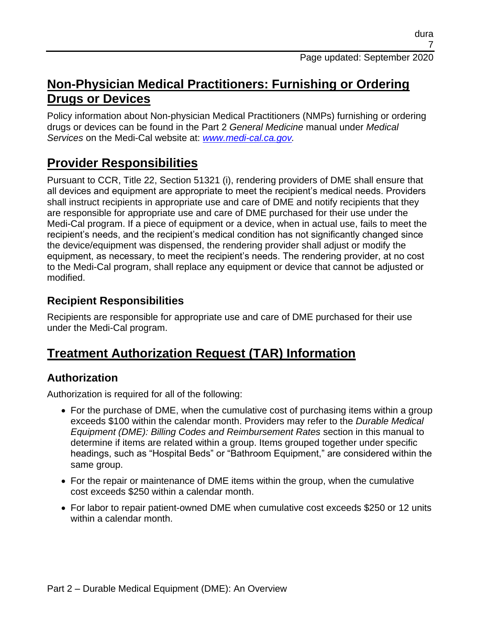## **Non-Physician Medical Practitioners: Furnishing or Ordering Drugs or Devices**

Policy information about Non-physician Medical Practitioners (NMPs) furnishing or ordering drugs or devices can be found in the Part 2 *General Medicine* manual under *Medical Services* on the Medi-Cal website at: *[www.medi-cal.ca.gov.](http://www.medi-cal.ca.gov/)*

# **Provider Responsibilities**

Pursuant to CCR, Title 22, Section 51321 (i), rendering providers of DME shall ensure that all devices and equipment are appropriate to meet the recipient's medical needs. Providers shall instruct recipients in appropriate use and care of DME and notify recipients that they are responsible for appropriate use and care of DME purchased for their use under the Medi-Cal program. If a piece of equipment or a device, when in actual use, fails to meet the recipient's needs, and the recipient's medical condition has not significantly changed since the device/equipment was dispensed, the rendering provider shall adjust or modify the equipment, as necessary, to meet the recipient's needs. The rendering provider, at no cost to the Medi-Cal program, shall replace any equipment or device that cannot be adjusted or modified.

## **Recipient Responsibilities**

Recipients are responsible for appropriate use and care of DME purchased for their use under the Medi-Cal program.

# **Treatment Authorization Request (TAR) Information**

## **Authorization**

Authorization is required for all of the following:

- For the purchase of DME, when the cumulative cost of purchasing items within a group exceeds \$100 within the calendar month. Providers may refer to the *Durable Medical Equipment (DME): Billing Codes and Reimbursement Rates* section in this manual to determine if items are related within a group. Items grouped together under specific headings, such as "Hospital Beds" or "Bathroom Equipment," are considered within the same group.
- For the repair or maintenance of DME items within the group, when the cumulative cost exceeds \$250 within a calendar month.
- For labor to repair patient-owned DME when cumulative cost exceeds \$250 or 12 units within a calendar month.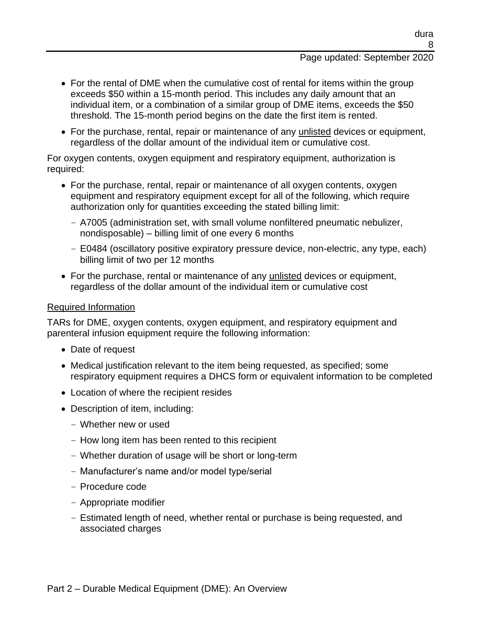- For the rental of DME when the cumulative cost of rental for items within the group exceeds \$50 within a 15-month period. This includes any daily amount that an individual item, or a combination of a similar group of DME items, exceeds the \$50 threshold. The 15-month period begins on the date the first item is rented.
- For the purchase, rental, repair or maintenance of any unlisted devices or equipment, regardless of the dollar amount of the individual item or cumulative cost.

For oxygen contents, oxygen equipment and respiratory equipment, authorization is required:

- For the purchase, rental, repair or maintenance of all oxygen contents, oxygen equipment and respiratory equipment except for all of the following, which require authorization only for quantities exceeding the stated billing limit:
	- A7005 (administration set, with small volume nonfiltered pneumatic nebulizer, nondisposable) – billing limit of one every 6 months
	- E0484 (oscillatory positive expiratory pressure device, non-electric, any type, each) billing limit of two per 12 months
- For the purchase, rental or maintenance of any unlisted devices or equipment, regardless of the dollar amount of the individual item or cumulative cost

### Required Information

TARs for DME, oxygen contents, oxygen equipment, and respiratory equipment and parenteral infusion equipment require the following information:

- Date of request
- Medical justification relevant to the item being requested, as specified; some respiratory equipment requires a DHCS form or equivalent information to be completed
- Location of where the recipient resides
- Description of item, including:
	- Whether new or used
	- How long item has been rented to this recipient
	- Whether duration of usage will be short or long-term
	- Manufacturer's name and/or model type/serial
	- Procedure code
	- Appropriate modifier
	- Estimated length of need, whether rental or purchase is being requested, and associated charges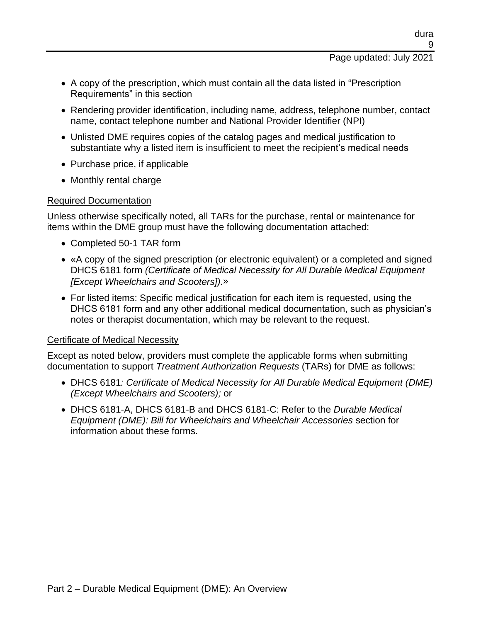- A copy of the prescription, which must contain all the data listed in "Prescription Requirements" in this section
- Rendering provider identification, including name, address, telephone number, contact name, contact telephone number and National Provider Identifier (NPI)
- Unlisted DME requires copies of the catalog pages and medical justification to substantiate why a listed item is insufficient to meet the recipient's medical needs
- Purchase price, if applicable
- Monthly rental charge

### Required Documentation

Unless otherwise specifically noted, all TARs for the purchase, rental or maintenance for items within the DME group must have the following documentation attached:

- Completed 50-1 TAR form
- [«A](#page-11-0) copy of the signed prescription (or electronic equivalent) or a completed and signed DHCS 6181 form *(Certificate of Medical Necessity for All Durable Medical Equipment [Except Wheelchairs and Scooters]).*[»](#page-11-1)
- For listed items: Specific medical justification for each item is requested, using the DHCS 6181 form and any other additional medical documentation, such as physician's notes or therapist documentation, which may be relevant to the request.

### Certificate of Medical Necessity

Except as noted below, providers must complete the applicable forms when submitting documentation to support *Treatment Authorization Requests* (TARs) for DME as follows:

- DHCS 6181*: Certificate of Medical Necessity for All Durable Medical Equipment (DME) (Except Wheelchairs and Scooters);* or
- DHCS 6181-A, DHCS 6181-B and DHCS 6181-C: Refer to the *Durable Medical Equipment (DME): Bill for Wheelchairs and Wheelchair Accessories* section for information about these forms.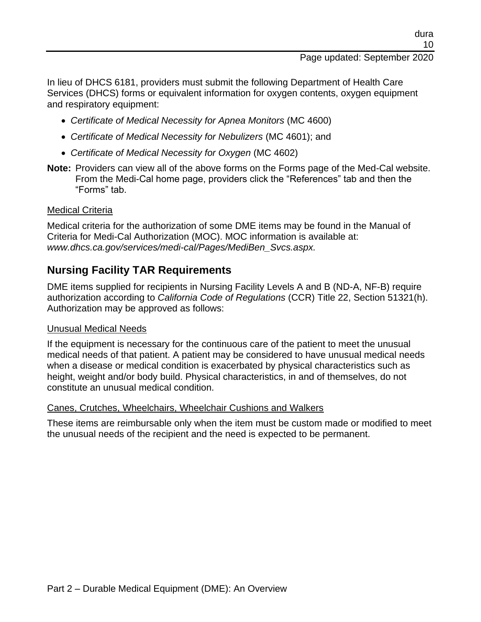### Page updated: September 2020

In lieu of DHCS 6181, providers must submit the following Department of Health Care Services (DHCS) forms or equivalent information for oxygen contents, oxygen equipment and respiratory equipment:

- *Certificate of Medical Necessity for Apnea Monitors* (MC 4600)
- *Certificate of Medical Necessity for Nebulizers* (MC 4601); and
- *Certificate of Medical Necessity for Oxygen* (MC 4602)
- **Note:** Providers can view all of the above forms on the Forms page of the Med-Cal website. From the Medi-Cal home page, providers click the "References" tab and then the "Forms" tab.

### Medical Criteria

Medical criteria for the authorization of some DME items may be found in the Manual of Criteria for Medi-Cal Authorization (MOC). MOC information is available at: *www.dhcs.ca.gov/services/medi-cal/Pages/MediBen\_Svcs.aspx.*

### **Nursing Facility TAR Requirements**

DME items supplied for recipients in Nursing Facility Levels A and B (ND-A, NF-B) require authorization according to *California Code of Regulations* (CCR) Title 22, Section 51321(h). Authorization may be approved as follows:

### Unusual Medical Needs

If the equipment is necessary for the continuous care of the patient to meet the unusual medical needs of that patient. A patient may be considered to have unusual medical needs when a disease or medical condition is exacerbated by physical characteristics such as height, weight and/or body build. Physical characteristics, in and of themselves, do not constitute an unusual medical condition.

### Canes, Crutches, Wheelchairs, Wheelchair Cushions and Walkers

These items are reimbursable only when the item must be custom made or modified to meet the unusual needs of the recipient and the need is expected to be permanent.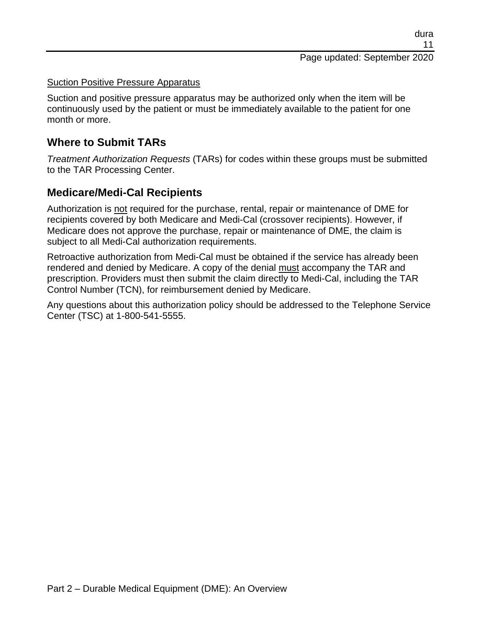#### Suction Positive Pressure Apparatus

Suction and positive pressure apparatus may be authorized only when the item will be continuously used by the patient or must be immediately available to the patient for one month or more.

### **Where to Submit TARs**

*Treatment Authorization Requests* (TARs) for codes within these groups must be submitted to the TAR Processing Center.

### **Medicare/Medi-Cal Recipients**

Authorization is not required for the purchase, rental, repair or maintenance of DME for recipients covered by both Medicare and Medi-Cal (crossover recipients). However, if Medicare does not approve the purchase, repair or maintenance of DME, the claim is subject to all Medi-Cal authorization requirements.

Retroactive authorization from Medi-Cal must be obtained if the service has already been rendered and denied by Medicare. A copy of the denial must accompany the TAR and prescription. Providers must then submit the claim directly to Medi-Cal, including the TAR Control Number (TCN), for reimbursement denied by Medicare.

Any questions about this authorization policy should be addressed to the Telephone Service Center (TSC) at 1-800-541-5555.